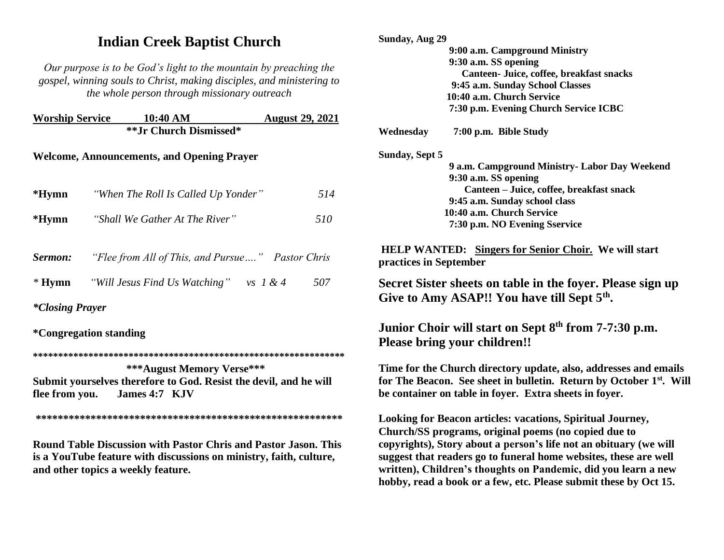# **Indian Creek Baptist Church**

*Our purpose is to be God's light to the mountain by preaching the gospel, winning souls to Christ, making disciples, and ministering to the whole person through missionary outreach*

| <b>Worship Service</b>                            | 10:40 AM                            | <b>August 29, 2021</b> |  |  |  |
|---------------------------------------------------|-------------------------------------|------------------------|--|--|--|
|                                                   | **Jr Church Dismissed*              |                        |  |  |  |
| <b>Welcome, Announcements, and Opening Prayer</b> |                                     |                        |  |  |  |
| $*Hymn$                                           | "When The Roll Is Called Up Yonder" | 514                    |  |  |  |

| $*Hymn$ | "Shall We Gather At The River" | 510 |
|---------|--------------------------------|-----|
|---------|--------------------------------|-----|

| Sermon:  | "Flee from All of This, and Pursue" Pastor Chris |                      |     |
|----------|--------------------------------------------------|----------------------|-----|
| $*$ Hymn | "Will Jesus Find Us Watching"                    | $\mathcal{V}S$ 1 & 4 | 507 |

*\*Closing Prayer* 

**\*Congregation standing**

**\*\*\*\*\*\*\*\*\*\*\*\*\*\*\*\*\*\*\*\*\*\*\*\*\*\*\*\*\*\*\*\*\*\*\*\*\*\*\*\*\*\*\*\*\*\*\*\*\*\*\*\*\*\*\*\*\*\*\*\*\*\***

 **\*\*\*August Memory Verse\*\*\* Submit yourselves therefore to God. Resist the devil, and he will flee from you. James 4:7 KJV** 

**\*\*\*\*\*\*\*\*\*\*\*\*\*\*\*\*\*\*\*\*\*\*\*\*\*\*\*\*\*\*\*\*\*\*\*\*\*\*\*\*\*\*\*\*\*\*\*\*\*\*\*\*\*\*\*\*** 

**Round Table Discussion with Pastor Chris and Pastor Jason. This is a YouTube feature with discussions on ministry, faith, culture, and other topics a weekly feature.**

| Sunday, Aug 29        |                                                                                                                       |
|-----------------------|-----------------------------------------------------------------------------------------------------------------------|
|                       | 9:00 a.m. Campground Ministry                                                                                         |
|                       | 9:30 a.m. SS opening                                                                                                  |
|                       | Canteen- Juice, coffee, breakfast snacks                                                                              |
|                       | 9:45 a.m. Sunday School Classes                                                                                       |
|                       | 10:40 a.m. Church Service                                                                                             |
|                       | 7:30 p.m. Evening Church Service ICBC                                                                                 |
| Wednesday             | 7:00 p.m. Bible Study                                                                                                 |
| <b>Sunday, Sept 5</b> |                                                                                                                       |
|                       | 9 a.m. Campground Ministry- Labor Day Weekend                                                                         |
|                       | 9:30 a.m. SS opening                                                                                                  |
|                       | Canteen - Juice, coffee, breakfast snack                                                                              |
|                       | 9:45 a.m. Sunday school class                                                                                         |
|                       | 10:40 a.m. Church Service                                                                                             |
|                       | 7:30 p.m. NO Evening Sservice                                                                                         |
|                       | Secret Sister sheets on table in the foyer. Please sign up<br>Give to Amy ASAP!! You have till Sept 5 <sup>th</sup> . |
|                       | Junior Choir will start on Sept 8th from 7-7:30 p.m.                                                                  |
|                       | Please bring your children!!                                                                                          |
|                       | Time for the Church directory update, also, addresses and emails                                                      |
|                       | for The Beacon. See sheet in bulletin. Return by October 1 <sup>st</sup> . Will                                       |
|                       | be container on table in foyer. Extra sheets in foyer.                                                                |
|                       | <b>Looking for Beacon articles: vacations, Spiritual Journey,</b>                                                     |
|                       | Church/SS programs, original poems (no copied due to                                                                  |
|                       | copyrights), Story about a person's life not an obituary (we will                                                     |
|                       |                                                                                                                       |
|                       | suggest that readers go to funeral home websites, these are well                                                      |
|                       | written), Children's thoughts on Pandemic, did you learn a new                                                        |
|                       | hobby, read a book or a few, etc. Please submit these by Oct 15.                                                      |